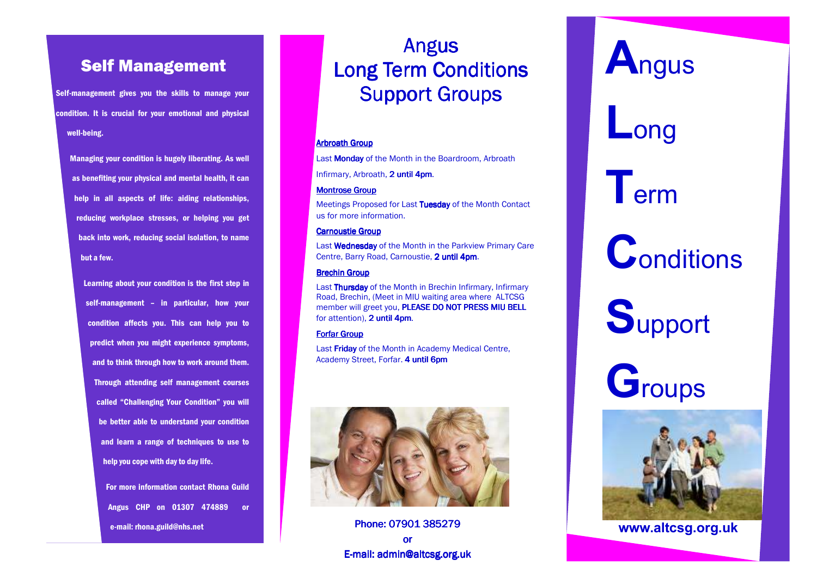### Self Management

Self-management gives you the skills to manage yourcondition. It is crucial for your emotional and physical well-being.

Managing your condition is hugely liberating. As well as benefiting your physical and mental health, it can help in all aspects of life: aiding relationships, reducing workplace stresses, or helping you get back into work, reducing social isolation, to name but a few.

Learning about your condition is the first step in self-management – in particular, how your condition affects you. This can help you to predict when you might experience symptoms, and to think through how to work around them. Through attending self management courses called "Challenging Your Condition" you will be better able to understand your condition and learn a range of techniques to use to help you cope with day to day life.

> For more information contact Rhona Guild Angus CHP on 01307 474889 or e-mail: rhona.guild@nhs.net

## Angus Long Term Conditions **Support Groups**

#### Arbroath Group

Last **Monday** of the Month in the Boardroom, Arbroath

Infirmary, Arbroath, 2 u<mark>ntil 4pm</mark>.

#### Montrose Group

Meetings Proposed for Last Tuesday of the Month Contact us for more information.

#### Carnoustie Group

Last **Wednesday** of the Month in the Parkview Primary Care Centre, Barry Road, Carnoustie, 2 until 4pm.

#### Brechin Group

Last **Thursday** of the Month in Brechin Infirmary, Infirmary Road, Brechin, (Meet in MIU waiting area where ALTCSG member will greet you, PLEASE DO NOT PRESS MIU BELL for attention), 2 until 4pm.

#### Forfar Group

Last Friday of the Month in Academy Medical Centre, Academy Street, Forfar. <mark>4 until 6pm</mark>



Phone: 07901 385279 **Phone: 07901 385279** or E-mail: admin@altcsg.org.uk

# **A**ngus

# **L**ong

# **T**erm

**C**onditions

**S**upport

**G**roups